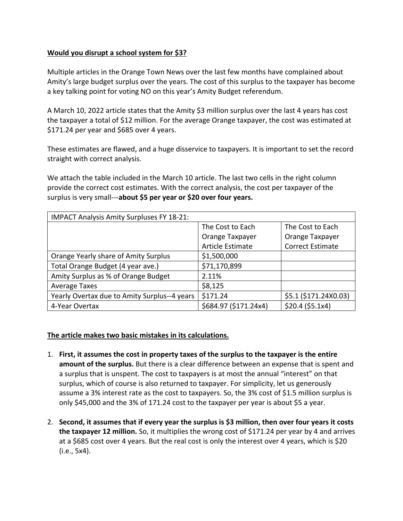## **Would you disrupt a school system for \$3?**

Multiple articles in the Orange Town News over the last few months have complained about Amity's large budget surplus over the years. The cost of this surplus to the taxpayer has become a key talking point for voting NO on this year's Amity Budget referendum.

A March 10, 2022 article states that the Amity \$3 million surplus over the last 4 years has cost the taxpayer a total of \$12 million. For the average Orange taxpayer, the cost was estimated at \$171.24 per year and \$685 over 4 years.

These estimates are flawed, and a huge disservice to taxpayers. It is important to set the record straight with correct analysis.

We attach the table included in the March 10 article. The last two cells in the right column provide the correct cost estimates. With the correct analysis, the cost per taxpayer of the surplus is very small---**about \$5 per year or \$20 over four years.**

| <b>IMPACT Analysis Amity Surpluses FY 18-21:</b> |                         |                         |
|--------------------------------------------------|-------------------------|-------------------------|
|                                                  | The Cost to Each        | The Cost to Each        |
|                                                  | Orange Taxpayer         | Orange Taxpayer         |
|                                                  | <b>Article Estimate</b> | <b>Correct Estimate</b> |
| Orange Yearly share of Amity Surplus             | \$1,500,000             |                         |
| Total Orange Budget (4 year ave.)                | \$71,170,899            |                         |
| Amity Surplus as % of Orange Budget              | 2.11%                   |                         |
| <b>Average Taxes</b>                             | \$8,125                 |                         |
| Yearly Overtax due to Amity Surplus--4 years     | \$171.24                | \$5.1 (\$171.24X0.03)   |
| 4-Year Overtax                                   | \$684.97 (\$171.24x4)   | \$20.4 (\$5.1x4)        |

## **The article makes two basic mistakes in its calculations.**

- 1. **First, it assumes the cost in property taxes of the surplus to the taxpayer is the entire amount of the surplus.** But there is a clear difference between an expense that is spent and a surplus that is unspent. The cost to taxpayers is at most the annual "interest" on that surplus, which of course is also returned to taxpayer. For simplicity, let us generously assume a 3% interest rate as the cost to taxpayers. So, the 3% cost of \$1.5 million surplus is only \$45,000 and the 3% of 171.24 cost to the taxpayer per year is about \$5 a year.
- 2. **Second, it assumes that if every year the surplus is \$3 million, then over four years it costs the taxpayer 12 million.** So, it multiplies the wrong cost of \$171.24 per year by 4 and arrives at a \$685 cost over 4 years. But the real cost is only the interest over 4 years, which is \$20 (i.e., 5x4).